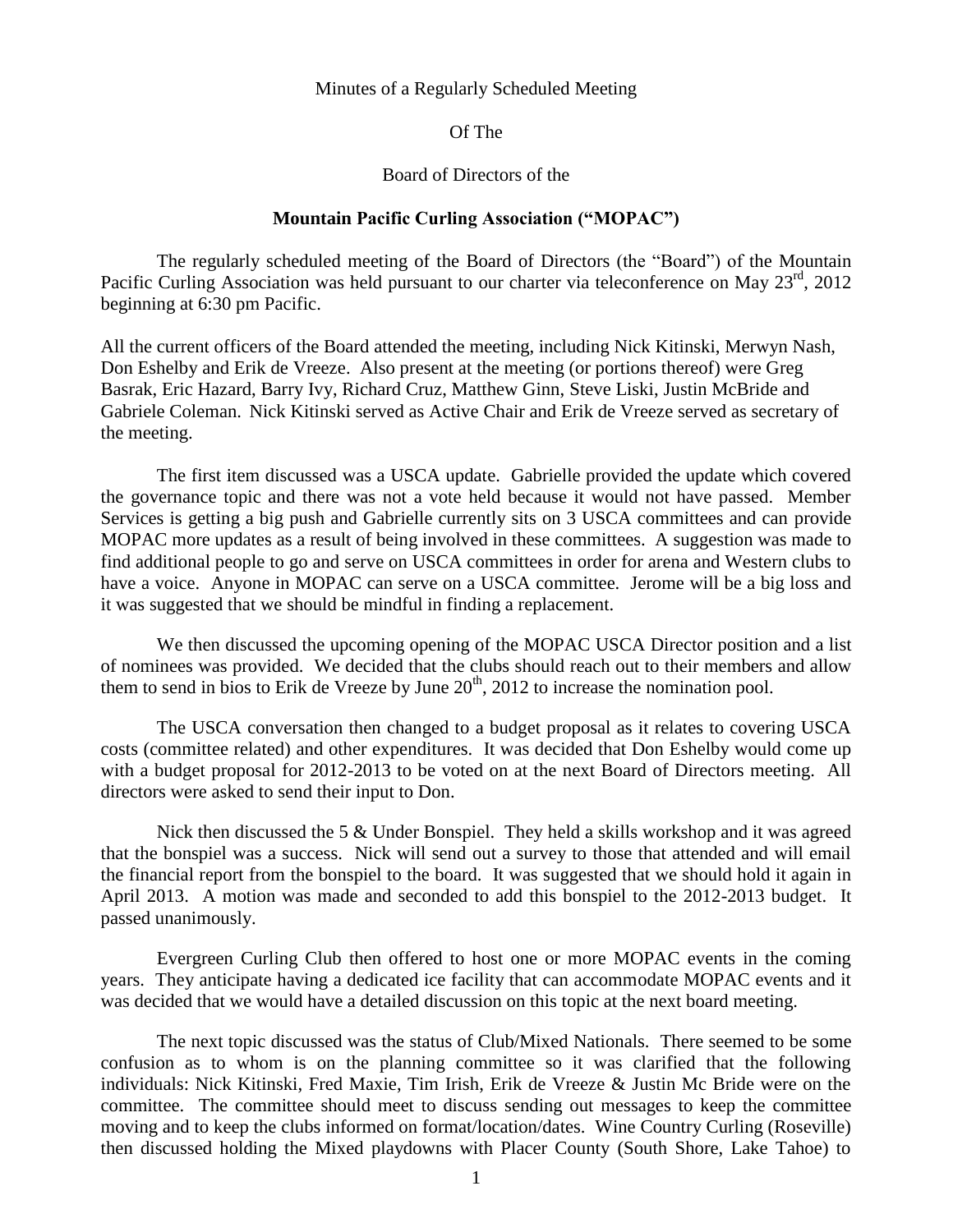## Minutes of a Regularly Scheduled Meeting

## Of The

## Board of Directors of the

## **Mountain Pacific Curling Association ("MOPAC")**

The regularly scheduled meeting of the Board of Directors (the "Board") of the Mountain Pacific Curling Association was held pursuant to our charter via teleconference on May 23<sup>rd</sup>, 2012 beginning at 6:30 pm Pacific.

All the current officers of the Board attended the meeting, including Nick Kitinski, Merwyn Nash, Don Eshelby and Erik de Vreeze. Also present at the meeting (or portions thereof) were Greg Basrak, Eric Hazard, Barry Ivy, Richard Cruz, Matthew Ginn, Steve Liski, Justin McBride and Gabriele Coleman. Nick Kitinski served as Active Chair and Erik de Vreeze served as secretary of the meeting.

The first item discussed was a USCA update. Gabrielle provided the update which covered the governance topic and there was not a vote held because it would not have passed. Member Services is getting a big push and Gabrielle currently sits on 3 USCA committees and can provide MOPAC more updates as a result of being involved in these committees. A suggestion was made to find additional people to go and serve on USCA committees in order for arena and Western clubs to have a voice. Anyone in MOPAC can serve on a USCA committee. Jerome will be a big loss and it was suggested that we should be mindful in finding a replacement.

We then discussed the upcoming opening of the MOPAC USCA Director position and a list of nominees was provided. We decided that the clubs should reach out to their members and allow them to send in bios to Erik de Vreeze by June  $20<sup>th</sup>$ , 2012 to increase the nomination pool.

The USCA conversation then changed to a budget proposal as it relates to covering USCA costs (committee related) and other expenditures. It was decided that Don Eshelby would come up with a budget proposal for 2012-2013 to be voted on at the next Board of Directors meeting. All directors were asked to send their input to Don.

Nick then discussed the 5 & Under Bonspiel. They held a skills workshop and it was agreed that the bonspiel was a success. Nick will send out a survey to those that attended and will email the financial report from the bonspiel to the board. It was suggested that we should hold it again in April 2013. A motion was made and seconded to add this bonspiel to the 2012-2013 budget. It passed unanimously.

Evergreen Curling Club then offered to host one or more MOPAC events in the coming years. They anticipate having a dedicated ice facility that can accommodate MOPAC events and it was decided that we would have a detailed discussion on this topic at the next board meeting.

The next topic discussed was the status of Club/Mixed Nationals. There seemed to be some confusion as to whom is on the planning committee so it was clarified that the following individuals: Nick Kitinski, Fred Maxie, Tim Irish, Erik de Vreeze & Justin Mc Bride were on the committee. The committee should meet to discuss sending out messages to keep the committee moving and to keep the clubs informed on format/location/dates. Wine Country Curling (Roseville) then discussed holding the Mixed playdowns with Placer County (South Shore, Lake Tahoe) to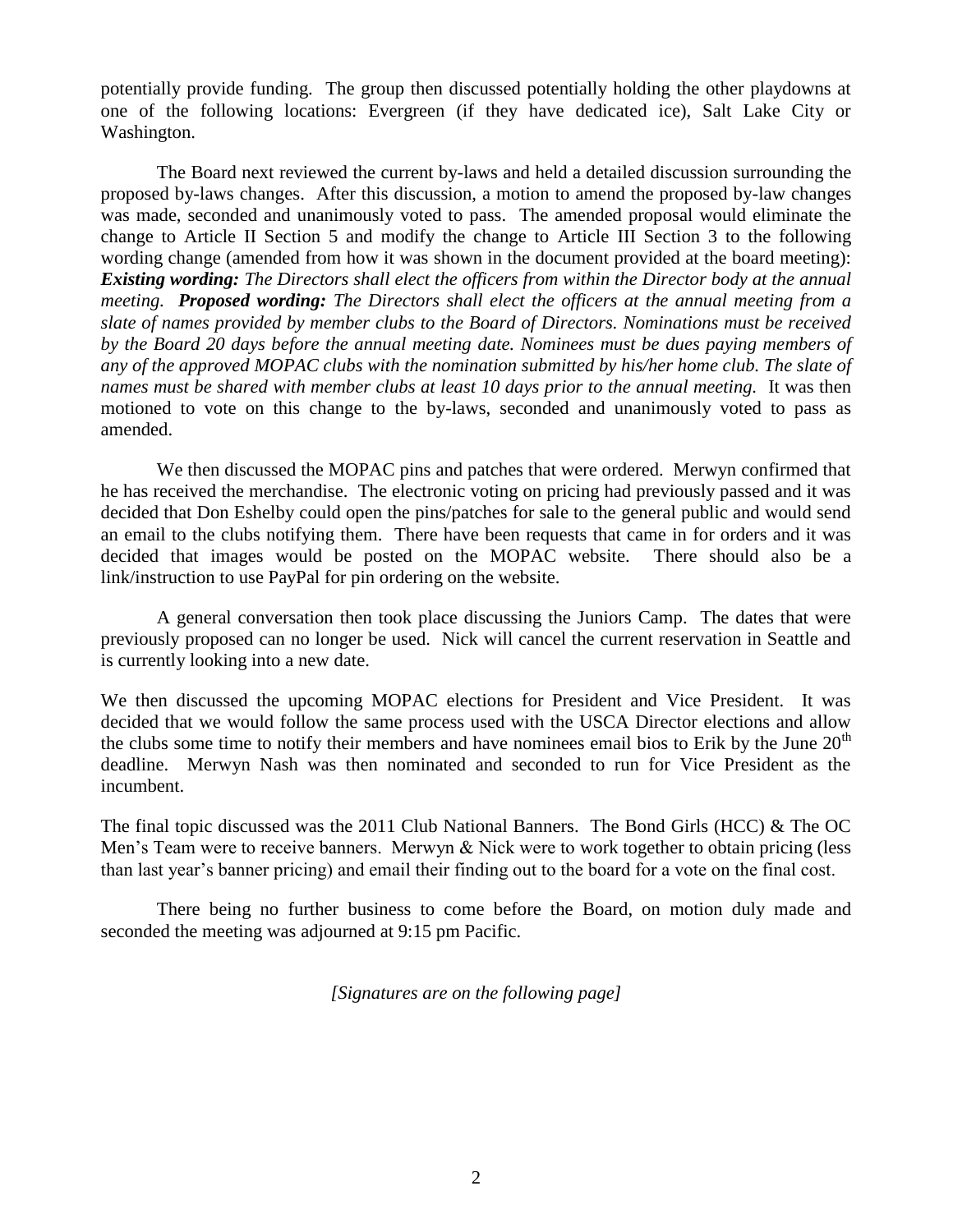potentially provide funding. The group then discussed potentially holding the other playdowns at one of the following locations: Evergreen (if they have dedicated ice), Salt Lake City or Washington.

The Board next reviewed the current by-laws and held a detailed discussion surrounding the proposed by-laws changes. After this discussion, a motion to amend the proposed by-law changes was made, seconded and unanimously voted to pass. The amended proposal would eliminate the change to Article II Section 5 and modify the change to Article III Section 3 to the following wording change (amended from how it was shown in the document provided at the board meeting): *Existing wording: The Directors shall elect the officers from within the Director body at the annual meeting. Proposed wording: The Directors shall elect the officers at the annual meeting from a slate of names provided by member clubs to the Board of Directors. Nominations must be received by the Board 20 days before the annual meeting date. Nominees must be dues paying members of any of the approved MOPAC clubs with the nomination submitted by his/her home club. The slate of names must be shared with member clubs at least 10 days prior to the annual meeting.* It was then motioned to vote on this change to the by-laws, seconded and unanimously voted to pass as amended.

We then discussed the MOPAC pins and patches that were ordered. Merwyn confirmed that he has received the merchandise. The electronic voting on pricing had previously passed and it was decided that Don Eshelby could open the pins/patches for sale to the general public and would send an email to the clubs notifying them. There have been requests that came in for orders and it was decided that images would be posted on the MOPAC website. There should also be a link/instruction to use PayPal for pin ordering on the website.

A general conversation then took place discussing the Juniors Camp. The dates that were previously proposed can no longer be used. Nick will cancel the current reservation in Seattle and is currently looking into a new date.

We then discussed the upcoming MOPAC elections for President and Vice President. It was decided that we would follow the same process used with the USCA Director elections and allow the clubs some time to notify their members and have nominees email bios to Erik by the June  $20<sup>th</sup>$ deadline. Merwyn Nash was then nominated and seconded to run for Vice President as the incumbent.

The final topic discussed was the 2011 Club National Banners. The Bond Girls (HCC) & The OC Men's Team were to receive banners. Merwyn & Nick were to work together to obtain pricing (less than last year's banner pricing) and email their finding out to the board for a vote on the final cost.

There being no further business to come before the Board, on motion duly made and seconded the meeting was adjourned at 9:15 pm Pacific.

*[Signatures are on the following page]*